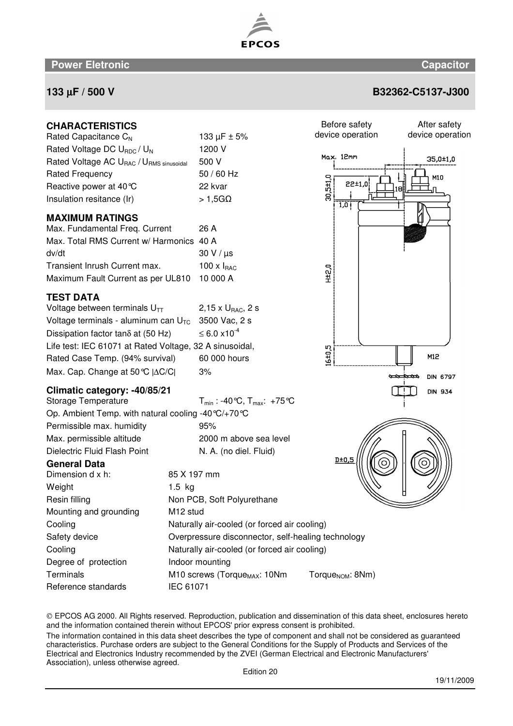The information contained in this data sheet describes the type of component and shall not be considered as guaranteed characteristics. Purchase orders are subject to the General Conditions for the Supply of Products and Services of the

and the information contained therein without EPCOS' prior express consent is prohibited.

Association), unless otherwise agreed.



**EPCOS** 

## **133** µ**F / 500 V B32362-C5137-J300**